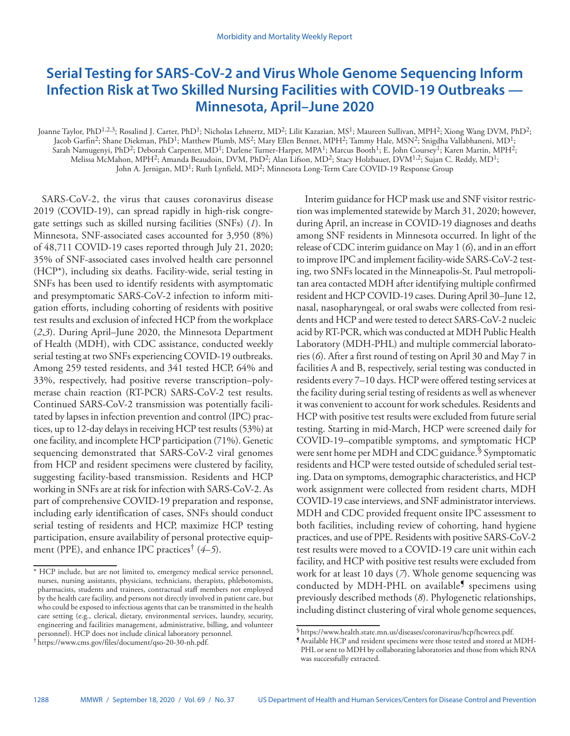# **Serial Testing for SARS-CoV-2 and Virus Whole Genome Sequencing Inform Infection Risk at Two Skilled Nursing Facilities with COVID-19 Outbreaks — Minnesota, April–June 2020**

Joanne Taylor, PhD<sup>1,2,3</sup>; Rosalind J. Carter, PhD<sup>1</sup>; Nicholas Lehnertz, MD<sup>2</sup>; Lilit Kazazian, MS<sup>1</sup>; Maureen Sullivan, MPH<sup>2</sup>; Xiong Wang DVM, PhD<sup>2</sup>; Jacob Garfin<sup>2</sup>; Shane Diekman, PhD<sup>1</sup>; Matthew Plumb, MS<sup>2</sup>; Mary Ellen Bennet, MPH<sup>2</sup>; Tammy Hale, MSN<sup>2</sup>; Snigdha Vallabhaneni, MD<sup>1</sup>; Sarah Namugenyi, PhD<sup>2</sup>; Deborah Carpenter, MD<sup>1</sup>; Darlene Turner-Harper, MPA<sup>1</sup>; Marcus Booth<sup>1</sup>; E. John Coursey<sup>1</sup>; Karen Martin, MPH<sup>2</sup>; Melissa McMahon, MPH<sup>2</sup>; Amanda Beaudoin, DVM, PhD<sup>2</sup>; Alan Lifson, MD<sup>2</sup>; Stacy Holzbauer, DVM<sup>1,2</sup>; Sujan C. Reddy, MD<sup>1</sup>; John A. Jernigan, MD1; Ruth Lynfield, MD2; Minnesota Long-Term Care COVID-19 Response Group

SARS-CoV-2, the virus that causes coronavirus disease 2019 (COVID-19), can spread rapidly in high-risk congregate settings such as skilled nursing facilities (SNFs) (*1*). In Minnesota, SNF-associated cases accounted for 3,950 (8%) of 48,711 COVID-19 cases reported through July 21, 2020; 35% of SNF-associated cases involved health care personnel (HCP\*), including six deaths. Facility-wide, serial testing in SNFs has been used to identify residents with asymptomatic and presymptomatic SARS-CoV-2 infection to inform mitigation efforts, including cohorting of residents with positive test results and exclusion of infected HCP from the workplace (*2*,*3*). During April–June 2020, the Minnesota Department of Health (MDH), with CDC assistance, conducted weekly serial testing at two SNFs experiencing COVID-19 outbreaks. Among 259 tested residents, and 341 tested HCP, 64% and 33%, respectively, had positive reverse transcription–polymerase chain reaction (RT-PCR) SARS-CoV-2 test results. Continued SARS-CoV-2 transmission was potentially facilitated by lapses in infection prevention and control (IPC) practices, up to 12-day delays in receiving HCP test results (53%) at one facility, and incomplete HCP participation (71%). Genetic sequencing demonstrated that SARS-CoV-2 viral genomes from HCP and resident specimens were clustered by facility, suggesting facility-based transmission. Residents and HCP working in SNFs are at risk for infection with SARS-CoV-2. As part of comprehensive COVID-19 preparation and response, including early identification of cases, SNFs should conduct serial testing of residents and HCP, maximize HCP testing participation, ensure availability of personal protective equipment (PPE), and enhance IPC practices† (*4*–*5*).

Interim guidance for HCP mask use and SNF visitor restriction was implemented statewide by March 31, 2020; however, during April, an increase in COVID-19 diagnoses and deaths among SNF residents in Minnesota occurred. In light of the release of CDC interim guidance on May 1 (*6*), and in an effort to improve IPC and implement facility-wide SARS-CoV-2 testing, two SNFs located in the Minneapolis-St. Paul metropolitan area contacted MDH after identifying multiple confirmed resident and HCP COVID-19 cases. During April 30–June 12, nasal, nasopharyngeal, or oral swabs were collected from residents and HCP and were tested to detect SARS-CoV-2 nucleic acid by RT-PCR, which was conducted at MDH Public Health Laboratory (MDH-PHL) and multiple commercial laboratories (*6*). After a first round of testing on April 30 and May 7 in facilities A and B, respectively, serial testing was conducted in residents every 7–10 days. HCP were offered testing services at the facility during serial testing of residents as well as whenever it was convenient to account for work schedules. Residents and HCP with positive test results were excluded from future serial testing. Starting in mid-March, HCP were screened daily for COVID-19–compatible symptoms, and symptomatic HCP were sent home per MDH and CDC guidance.<sup>§</sup> Symptomatic residents and HCP were tested outside of scheduled serial testing. Data on symptoms, demographic characteristics, and HCP work assignment were collected from resident charts, MDH COVID-19 case interviews, and SNF administrator interviews. MDH and CDC provided frequent onsite IPC assessment to both facilities, including review of cohorting, hand hygiene practices, and use of PPE. Residents with positive SARS-CoV-2 test results were moved to a COVID-19 care unit within each facility, and HCP with positive test results were excluded from work for at least 10 days (*7*). Whole genome sequencing was conducted by MDH-PHL on available $\mathbb{S}$  specimens using previously described methods (*8*). Phylogenetic relationships, including distinct clustering of viral whole genome sequences,

<sup>\*</sup> HCP include, but are not limited to, emergency medical service personnel, nurses, nursing assistants, physicians, technicians, therapists, phlebotomists, pharmacists, students and trainees, contractual staff members not employed by the health care facility, and persons not directly involved in patient care, but who could be exposed to infectious agents that can be transmitted in the health care setting (e.g., clerical, dietary, environmental services, laundry, security, engineering and facilities management, administrative, billing, and volunteer personnel). HCP does not include clinical laboratory personnel.

<sup>†</sup> <https://www.cms.gov/files/document/qso-20-30-nh.pdf>.

 $$$ <https://www.health.state.mn.us/diseases/coronavirus/hcp/hcwrecs.pdf>.<br> $$$ Available HCP and resident specimens were those tested and stored at MDH-

PHL or sent to MDH by collaborating laboratories and those from which RNA was successfully extracted.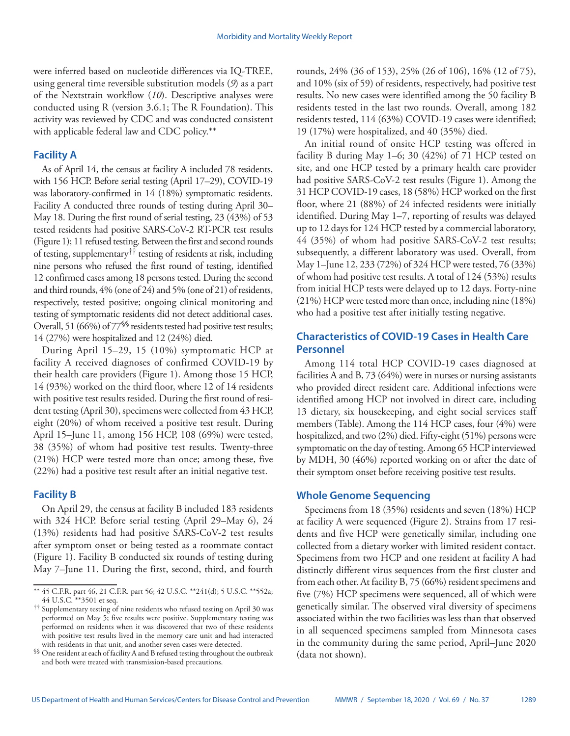were inferred based on nucleotide differences via IQ-TREE, using general time reversible substitution models (*9*) as a part of the Nextstrain workflow (*10*). Descriptive analyses were conducted using R (version 3.6.1; The R Foundation). This activity was reviewed by CDC and was conducted consistent with applicable federal law and CDC policy.\*\*

## **Facility A**

As of April 14, the census at facility A included 78 residents, with 156 HCP. Before serial testing (April 17–29), COVID-19 was laboratory-confirmed in 14 (18%) symptomatic residents. Facility A conducted three rounds of testing during April 30– May 18. During the first round of serial testing, 23 (43%) of 53 tested residents had positive SARS-CoV-2 RT-PCR test results (Figure 1); 11 refused testing. Between the first and second rounds of testing, supplementary†† testing of residents at risk, including nine persons who refused the first round of testing, identified 12 confirmed cases among 18 persons tested. During the second and third rounds, 4% (one of 24) and 5% (one of 21) of residents, respectively, tested positive; ongoing clinical monitoring and testing of symptomatic residents did not detect additional cases. Overall, 51 (66%) of 77<sup>\\pherest</sup> residents tested had positive test results; 14 (27%) were hospitalized and 12 (24%) died.

During April 15–29, 15 (10%) symptomatic HCP at facility A received diagnoses of confirmed COVID-19 by their health care providers (Figure 1). Among those 15 HCP, 14 (93%) worked on the third floor, where 12 of 14 residents with positive test results resided. During the first round of resident testing (April 30), specimens were collected from 43 HCP, eight (20%) of whom received a positive test result. During April 15–June 11, among 156 HCP, 108 (69%) were tested, 38 (35%) of whom had positive test results. Twenty-three (21%) HCP were tested more than once; among these, five (22%) had a positive test result after an initial negative test.

## **Facility B**

On April 29, the census at facility B included 183 residents with 324 HCP. Before serial testing (April 29–May 6), 24 (13%) residents had had positive SARS-CoV-2 test results after symptom onset or being tested as a roommate contact (Figure 1). Facility B conducted six rounds of testing during May 7–June 11. During the first, second, third, and fourth

rounds, 24% (36 of 153), 25% (26 of 106), 16% (12 of 75), and 10% (six of 59) of residents, respectively, had positive test results. No new cases were identified among the 50 facility B residents tested in the last two rounds. Overall, among 182 residents tested, 114 (63%) COVID-19 cases were identified; 19 (17%) were hospitalized, and 40 (35%) died.

An initial round of onsite HCP testing was offered in facility B during May 1–6; 30 (42%) of 71 HCP tested on site, and one HCP tested by a primary health care provider had positive SARS-CoV-2 test results (Figure 1). Among the 31 HCP COVID-19 cases, 18 (58%) HCP worked on the first floor, where 21 (88%) of 24 infected residents were initially identified. During May 1–7, reporting of results was delayed up to 12 days for 124 HCP tested by a commercial laboratory, 44 (35%) of whom had positive SARS-CoV-2 test results; subsequently, a different laboratory was used. Overall, from May 1–June 12, 233 (72%) of 324 HCP were tested, 76 (33%) of whom had positive test results. A total of 124 (53%) results from initial HCP tests were delayed up to 12 days. Forty-nine (21%) HCP were tested more than once, including nine (18%) who had a positive test after initially testing negative.

## **Characteristics of COVID-19 Cases in Health Care Personnel**

Among 114 total HCP COVID-19 cases diagnosed at facilities A and B, 73 (64%) were in nurses or nursing assistants who provided direct resident care. Additional infections were identified among HCP not involved in direct care, including 13 dietary, six housekeeping, and eight social services staff members (Table). Among the 114 HCP cases, four (4%) were hospitalized, and two (2%) died. Fifty-eight (51%) persons were symptomatic on the day of testing. Among 65 HCP interviewed by MDH, 30 (46%) reported working on or after the date of their symptom onset before receiving positive test results.

## **Whole Genome Sequencing**

Specimens from 18 (35%) residents and seven (18%) HCP at facility A were sequenced (Figure 2). Strains from 17 residents and five HCP were genetically similar, including one collected from a dietary worker with limited resident contact. Specimens from two HCP and one resident at facility A had distinctly different virus sequences from the first cluster and from each other. At facility B, 75 (66%) resident specimens and five (7%) HCP specimens were sequenced, all of which were genetically similar. The observed viral diversity of specimens associated within the two facilities was less than that observed in all sequenced specimens sampled from Minnesota cases in the community during the same period, April–June 2020 (data not shown).

<sup>\*\*</sup> 45 C.F.R. part 46, 21 C.F.R. part 56; 42 U.S.C. \*\*241(d); 5 U.S.C. \*\*552a; 44 U.S.C. \*\*3501 et seq.

<sup>††</sup> Supplementary testing of nine residents who refused testing on April 30 was performed on May 5; five results were positive. Supplementary testing was performed on residents when it was discovered that two of these residents with positive test results lived in the memory care unit and had interacted with residents in that unit, and another seven cases were detected.

<sup>§§</sup> One resident at each of facility A and B refused testing throughout the outbreak and both were treated with transmission-based precautions.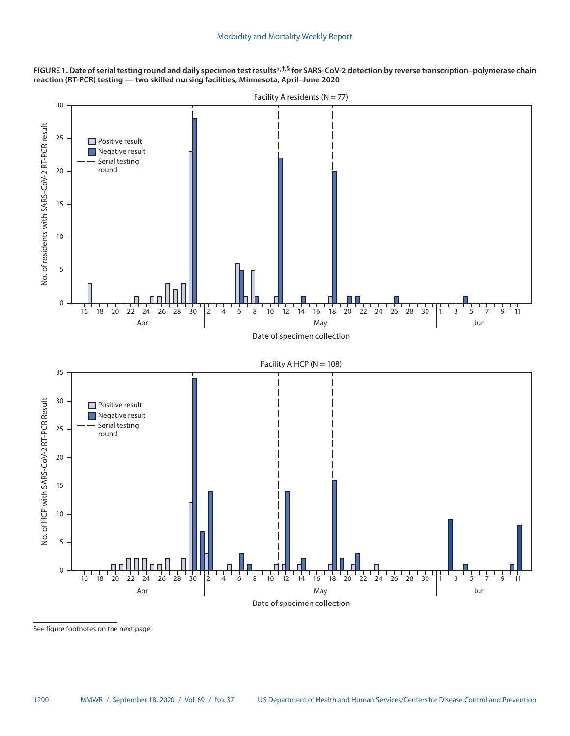**FIGURE 1. Date of serial testing round and daily specimen test results\*,†,§ for SARS-CoV-2 detection by reverse transcription–polymerase chain reaction (RT-PCR) testing — two skilled nursing facilities, Minnesota, April–June 2020**



See figure footnotes on the next page.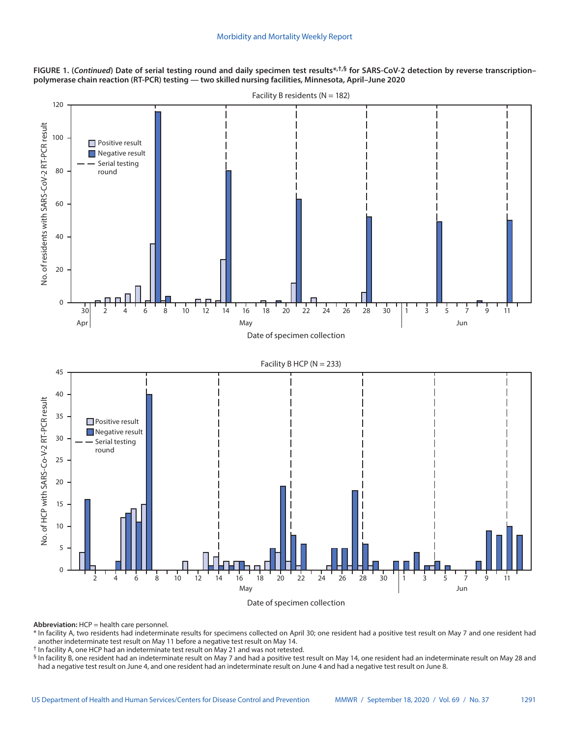FIGURE 1. (Continued) Date of serial testing round and daily specimen test results<sup>\*,†,§</sup> for SARS-CoV-2 detection by reverse transcription– **polymerase chain reaction (RT-PCR) testing — two skilled nursing facilities, Minnesota, April–June 2020**



Date of specimen collection

**Abbreviation:** HCP = health care personnel.

\* In facility A, two residents had indeterminate results for specimens collected on April 30; one resident had a positive test result on May 7 and one resident had another indeterminate test result on May 11 before a negative test result on May 14.

† In facility A, one HCP had an indeterminate test result on May 21 and was not retested.

§ In facility B, one resident had an indeterminate result on May 7 and had a positive test result on May 14, one resident had an indeterminate result on May 28 and had a negative test result on June 4, and one resident had an indeterminate result on June 4 and had a negative test result on June 8.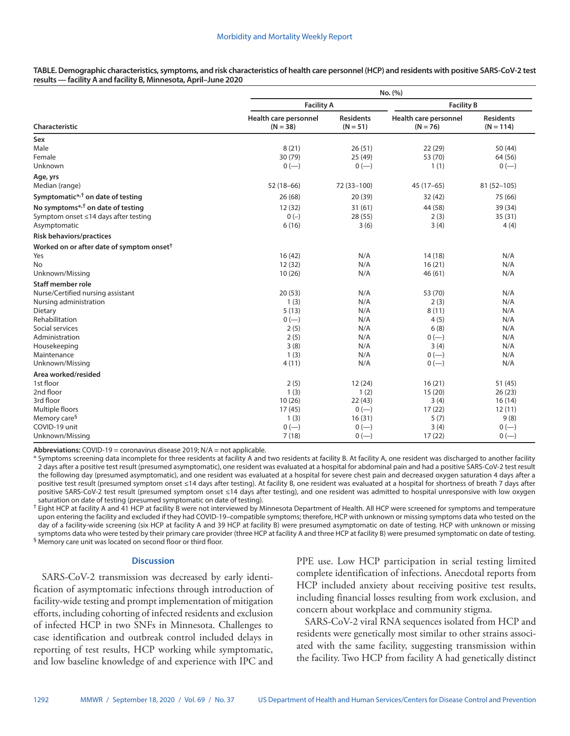**TABLE. Demographic characteristics, symptoms, and risk characteristics of health care personnel (HCP) and residents with positive SARS-CoV-2 test results — facility A and facility B, Minnesota, April–June 2020**

| Characteristic                                        | No. (%)                             |                                |                                     |                                 |
|-------------------------------------------------------|-------------------------------------|--------------------------------|-------------------------------------|---------------------------------|
|                                                       | <b>Facility A</b>                   |                                | <b>Facility B</b>                   |                                 |
|                                                       | Health care personnel<br>$(N = 38)$ | <b>Residents</b><br>$(N = 51)$ | Health care personnel<br>$(N = 76)$ | <b>Residents</b><br>$(N = 114)$ |
| Sex                                                   |                                     |                                |                                     |                                 |
| Male                                                  | 8(21)                               | 26(51)                         | 22(29)                              | 50 (44)                         |
| Female                                                | 30 (79)                             | 25(49)                         | 53 (70)                             | 64 (56)                         |
| Unknown                                               | $0 (-)$                             | $0 (-)$                        | 1(1)                                | $0 (-)$                         |
| Age, yrs                                              |                                     |                                |                                     |                                 |
| Median (range)                                        | $52(18-66)$                         | 72 (33-100)                    | $45(17-65)$                         | $81(52 - 105)$                  |
| Symptomatic <sup>*,†</sup> on date of testing         | 26(68)                              | 20 (39)                        | 32(42)                              | 75 (66)                         |
| No symptoms*, <sup>†</sup> on date of testing         | 12 (32)                             | 31(61)                         | 44 (58)                             | 39 (34)                         |
| Symptom onset ≤14 days after testing                  | $0(-)$                              | 28 (55)                        | 2(3)                                | 35(31)                          |
| Asymptomatic                                          | 6(16)                               | 3(6)                           | 3(4)                                | 4(4)                            |
| <b>Risk behaviors/practices</b>                       |                                     |                                |                                     |                                 |
| Worked on or after date of symptom onset <sup>†</sup> |                                     |                                |                                     |                                 |
| Yes                                                   | 16(42)                              | N/A                            | 14(18)                              | N/A                             |
| No                                                    | 12(32)                              | N/A                            | 16(21)                              | N/A                             |
| Unknown/Missing                                       | 10(26)                              | N/A                            | 46(61)                              | N/A                             |
| <b>Staff member role</b>                              |                                     |                                |                                     |                                 |
| Nurse/Certified nursing assistant                     | 20(53)                              | N/A                            | 53 (70)                             | N/A                             |
| Nursing administration                                | 1(3)                                | N/A                            | 2(3)                                | N/A                             |
| Dietary                                               | 5(13)                               | N/A                            | 8(11)                               | N/A                             |
| Rehabilitation                                        | $0 (-)$                             | N/A                            | 4(5)                                | N/A                             |
| Social services                                       | 2(5)                                | N/A                            | 6(8)                                | N/A                             |
| Administration                                        | 2(5)                                | N/A                            | $0 (-)$                             | N/A                             |
| Housekeeping                                          | 3(8)                                | N/A                            | 3(4)                                | N/A                             |
| Maintenance                                           | 1(3)                                | N/A                            | $0 (-)$                             | N/A                             |
| Unknown/Missing                                       | 4(11)                               | N/A                            | $0 (-)$                             | N/A                             |
| Area worked/resided                                   |                                     |                                |                                     |                                 |
| 1st floor                                             | 2(5)                                | 12(24)                         | 16(21)                              | 51(45)                          |
| 2nd floor                                             | 1(3)                                | 1(2)                           | 15(20)                              | 26(23)                          |
| 3rd floor                                             | 10(26)                              | 22(43)                         | 3(4)                                | 16(14)                          |
| Multiple floors                                       | 17(45)                              | $0 (-)$                        | 17(22)                              | 12(11)                          |
| Memory care <sup>§</sup>                              | 1(3)                                | 16(31)                         | 5(7)                                | 9(8)                            |
| COVID-19 unit                                         | $0 (-)$                             | $0 (-)$                        | 3(4)                                | $0 (-)$                         |
| Unknown/Missing                                       | 7(18)                               | $0 (-)$                        | 17(22)                              | $0 (-)$                         |

**Abbreviations:** COVID-19 = coronavirus disease 2019; N/A = not applicable.

\* Symptoms screening data incomplete for three residents at facility A and two residents at facility B. At facility A, one resident was discharged to another facility 2 days after a positive test result (presumed asymptomatic), one resident was evaluated at a hospital for abdominal pain and had a positive SARS-CoV-2 test result the following day (presumed asymptomatic), and one resident was evaluated at a hospital for severe chest pain and decreased oxygen saturation 4 days after a positive test result (presumed symptom onset ≤14 days after testing). At facility B, one resident was evaluated at a hospital for shortness of breath 7 days after positive SARS-CoV-2 test result (presumed symptom onset ≤14 days after testing), and one resident was admitted to hospital unresponsive with low oxygen saturation on date of testing (presumed symptomatic on date of testing).

<sup>†</sup> Eight HCP at facility A and 41 HCP at facility B were not interviewed by Minnesota Department of Health. All HCP were screened for symptoms and temperature upon entering the facility and excluded if they had COVID-19–compatible symptoms; therefore, HCP with unknown or missing symptoms data who tested on the day of a facility-wide screening (six HCP at facility A and 39 HCP at facility B) were presumed asymptomatic on date of testing. HCP with unknown or missing symptoms data who were tested by their primary care provider (three HCP at facility A and three HCP at facility B) were presumed symptomatic on date of testing. § Memory care unit was located on second floor or third floor.

**Discussion**

SARS-CoV-2 transmission was decreased by early identification of asymptomatic infections through introduction of facility-wide testing and prompt implementation of mitigation efforts, including cohorting of infected residents and exclusion of infected HCP in two SNFs in Minnesota. Challenges to case identification and outbreak control included delays in reporting of test results, HCP working while symptomatic, and low baseline knowledge of and experience with IPC and

PPE use. Low HCP participation in serial testing limited complete identification of infections. Anecdotal reports from HCP included anxiety about receiving positive test results, including financial losses resulting from work exclusion, and concern about workplace and community stigma.

SARS-CoV-2 viral RNA sequences isolated from HCP and residents were genetically most similar to other strains associated with the same facility, suggesting transmission within the facility. Two HCP from facility A had genetically distinct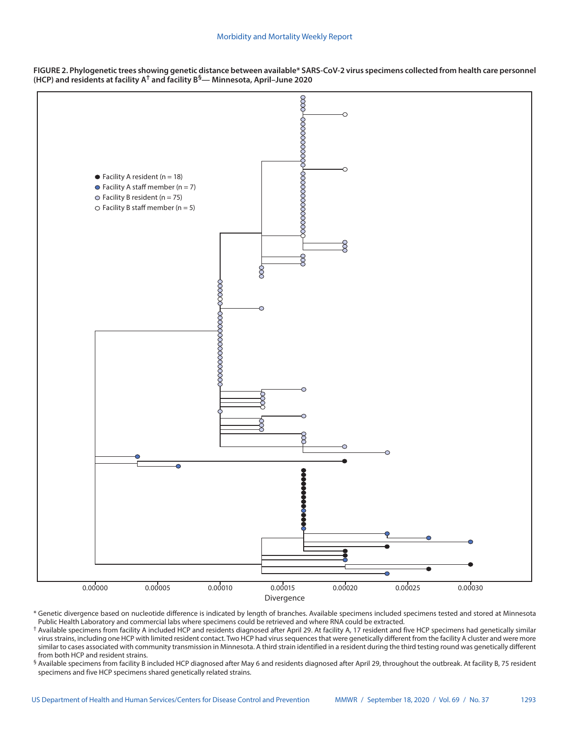



\* Genetic divergence based on nucleotide difference is indicated by length of branches. Available specimens included specimens tested and stored at Minnesota Public Health Laboratory and commercial labs where specimens could be retrieved and where RNA could be extracted.

† Available specimens from facility A included HCP and residents diagnosed after April 29. At facility A, 17 resident and five HCP specimens had genetically similar virus strains, including one HCP with limited resident contact. Two HCP had virus sequences that were genetically different from the facility A cluster and were more similar to cases associated with community transmission in Minnesota. A third strain identified in a resident during the third testing round was genetically different from both HCP and resident strains.

§ Available specimens from facility B included HCP diagnosed after May 6 and residents diagnosed after April 29, throughout the outbreak. At facility B, 75 resident specimens and five HCP specimens shared genetically related strains.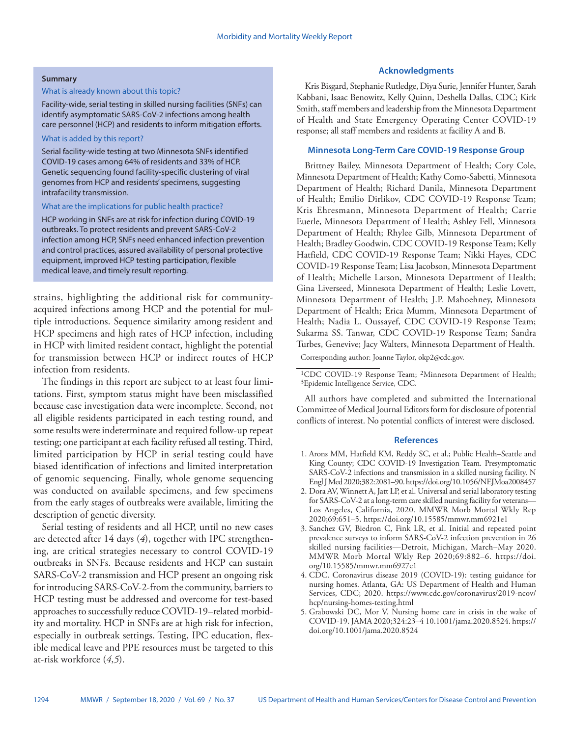#### **Summary**

#### What is already known about this topic?

Facility-wide, serial testing in skilled nursing facilities (SNFs) can identify asymptomatic SARS-CoV-2 infections among health care personnel (HCP) and residents to inform mitigation efforts.

#### What is added by this report?

Serial facility-wide testing at two Minnesota SNFs identified COVID-19 cases among 64% of residents and 33% of HCP. Genetic sequencing found facility-specific clustering of viral genomes from HCP and residents' specimens, suggesting intrafacility transmission.

#### What are the implications for public health practice?

HCP working in SNFs are at risk for infection during COVID-19 outbreaks. To protect residents and prevent SARS-CoV-2 infection among HCP, SNFs need enhanced infection prevention and control practices, assured availability of personal protective equipment, improved HCP testing participation, flexible medical leave, and timely result reporting.

strains, highlighting the additional risk for communityacquired infections among HCP and the potential for multiple introductions. Sequence similarity among resident and HCP specimens and high rates of HCP infection, including in HCP with limited resident contact, highlight the potential for transmission between HCP or indirect routes of HCP infection from residents.

The findings in this report are subject to at least four limitations. First, symptom status might have been misclassified because case investigation data were incomplete. Second, not all eligible residents participated in each testing round, and some results were indeterminate and required follow-up repeat testing; one participant at each facility refused all testing. Third, limited participation by HCP in serial testing could have biased identification of infections and limited interpretation of genomic sequencing. Finally, whole genome sequencing was conducted on available specimens, and few specimens from the early stages of outbreaks were available, limiting the description of genetic diversity.

Serial testing of residents and all HCP, until no new cases are detected after 14 days (*4*), together with IPC strengthening, are critical strategies necessary to control COVID-19 outbreaks in SNFs. Because residents and HCP can sustain SARS-CoV-2 transmission and HCP present an ongoing risk for introducing SARS-CoV-2-from the community, barriers to HCP testing must be addressed and overcome for test-based approaches to successfully reduce COVID-19–related morbidity and mortality. HCP in SNFs are at high risk for infection, especially in outbreak settings. Testing, IPC education, flexible medical leave and PPE resources must be targeted to this at-risk workforce (*4*,*5*).

#### **Acknowledgments**

Kris Bisgard, Stephanie Rutledge, Diya Surie, Jennifer Hunter, Sarah Kabbani, Isaac Benowitz, Kelly Quinn, Deshella Dallas, CDC; Kirk Smith, staff members and leadership from the Minnesota Department of Health and State Emergency Operating Center COVID-19 response; all staff members and residents at facility A and B.

## **Minnesota Long-Term Care COVID-19 Response Group**

Brittney Bailey, Minnesota Department of Health; Cory Cole, Minnesota Department of Health; Kathy Como-Sabetti, Minnesota Department of Health; Richard Danila, Minnesota Department of Health; Emilio Dirlikov, CDC COVID-19 Response Team; Kris Ehresmann, Minnesota Department of Health; Carrie Euerle, Minnesota Department of Health; Ashley Fell, Minnesota Department of Health; Rhylee Gilb, Minnesota Department of Health; Bradley Goodwin, CDC COVID-19 Response Team; Kelly Hatfield, CDC COVID-19 Response Team; Nikki Hayes, CDC COVID-19 Response Team; Lisa Jacobson, Minnesota Department of Health; Michelle Larson, Minnesota Department of Health; Gina Liverseed, Minnesota Department of Health; Leslie Lovett, Minnesota Department of Health; J.P. Mahoehney, Minnesota Department of Health; Erica Mumm, Minnesota Department of Health; Nadia L. Oussayef, CDC COVID-19 Response Team; Sukarma SS. Tanwar, CDC COVID-19 Response Team; Sandra Turbes, Genevive; Jacy Walters, Minnesota Department of Health.

Corresponding author: Joanne Taylor, [okp2@cdc.gov.](mailto:okp2@cdc.gov)

<sup>1</sup>CDC COVID-19 Response Team; <sup>2</sup>Minnesota Department of Health; 3Epidemic Intelligence Service, CDC.

All authors have completed and submitted the International Committee of Medical Journal Editors form for disclosure of potential conflicts of interest. No potential conflicts of interest were disclosed.

#### **References**

- 1. Arons MM, Hatfield KM, Reddy SC, et al.; Public Health–Seattle and King County; CDC COVID-19 Investigation Team. Presymptomatic SARS-CoV-2 infections and transmission in a skilled nursing facility. N Engl J Med 2020;382:2081–90.<https://doi.org/10.1056/NEJMoa2008457>
- 2. Dora AV, Winnett A, Jatt LP, et al. Universal and serial laboratory testing for SARS-CoV-2 at a long-term care skilled nursing facility for veterans— Los Angeles, California, 2020. MMWR Morb Mortal Wkly Rep 2020;69:651–5. <https://doi.org/10.15585/mmwr.mm6921e1>
- 3. Sanchez GV, Biedron C, Fink LR, et al. Initial and repeated point prevalence surveys to inform SARS-CoV-2 infection prevention in 26 skilled nursing facilities—Detroit, Michigan, March–May 2020. MMWR Morb Mortal Wkly Rep 2020;69:882–6. [https://doi.](https://doi.org/10.15585/mmwr.mm6927e1) [org/10.15585/mmwr.mm6927e1](https://doi.org/10.15585/mmwr.mm6927e1)
- 4. CDC. Coronavirus disease 2019 (COVID-19): testing guidance for nursing homes. Atlanta, GA: US Department of Health and Human Services, CDC; 2020. [https://www.cdc.gov/coronavirus/2019-ncov/](https://www.cdc.gov/coronavirus/2019-ncov/hcp/nursing-homes-testing.html) [hcp/nursing-homes-testing.html](https://www.cdc.gov/coronavirus/2019-ncov/hcp/nursing-homes-testing.html)
- 5. Grabowski DC, Mor V. Nursing home care in crisis in the wake of COVID-19. JAMA 2020;324:23–4 10.1001/jama.2020.8524. [https://](https://doi.org/10.1001/jama.2020.8524) [doi.org/10.1001/jama.2020.8524](https://doi.org/10.1001/jama.2020.8524)